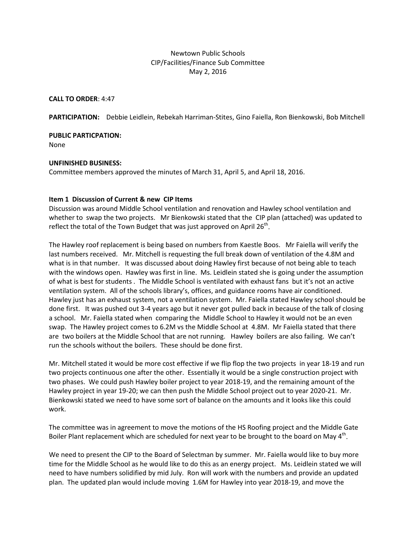# Newtown Public Schools CIP/Facilities/Finance Sub Committee May 2, 2016

**CALL TO ORDER**: 4:47

**PARTICIPATION:** Debbie Leidlein, Rebekah Harriman-Stites, Gino Faiella, Ron Bienkowski, Bob Mitchell

**PUBLIC PARTICPATION:**

None

## **UNFINISHED BUSINESS:**

Committee members approved the minutes of March 31, April 5, and April 18, 2016.

## **Item 1 Discussion of Current & new CIP Items**

Discussion was around Middle School ventilation and renovation and Hawley school ventilation and whether to swap the two projects. Mr Bienkowski stated that the CIP plan (attached) was updated to reflect the total of the Town Budget that was just approved on April  $26<sup>th</sup>$ .

The Hawley roof replacement is being based on numbers from Kaestle Boos. Mr Faiella will verify the last numbers received. Mr. Mitchell is requesting the full break down of ventilation of the 4.8M and what is in that number. It was discussed about doing Hawley first because of not being able to teach with the windows open. Hawley was first in line. Ms. Leidlein stated she is going under the assumption of what is best for students . The Middle School is ventilated with exhaust fans but it's not an active ventilation system. All of the schools library's, offices, and guidance rooms have air conditioned. Hawley just has an exhaust system, not a ventilation system. Mr. Faiella stated Hawley school should be done first. It was pushed out 3-4 years ago but it never got pulled back in because of the talk of closing a school. Mr. Faiella stated when comparing the Middle School to Hawley it would not be an even swap. The Hawley project comes to 6.2M vs the Middle School at 4.8M. Mr Faiella stated that there are two boilers at the Middle School that are not running. Hawley boilers are also failing. We can't run the schools without the boilers. These should be done first.

Mr. Mitchell stated it would be more cost effective if we flip flop the two projects in year 18-19 and run two projects continuous one after the other. Essentially it would be a single construction project with two phases. We could push Hawley boiler project to year 2018-19, and the remaining amount of the Hawley project in year 19-20; we can then push the Middle School project out to year 2020-21. Mr. Bienkowski stated we need to have some sort of balance on the amounts and it looks like this could work.

The committee was in agreement to move the motions of the HS Roofing project and the Middle Gate Boiler Plant replacement which are scheduled for next year to be brought to the board on May 4<sup>th</sup>.

We need to present the CIP to the Board of Selectman by summer. Mr. Faiella would like to buy more time for the Middle School as he would like to do this as an energy project. Ms. Leidlein stated we will need to have numbers solidified by mid July. Ron will work with the numbers and provide an updated plan. The updated plan would include moving 1.6M for Hawley into year 2018-19, and move the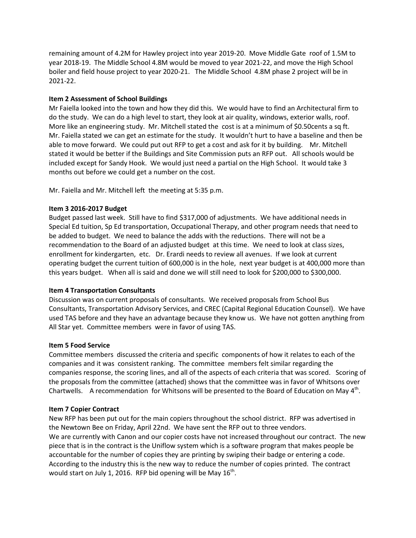remaining amount of 4.2M for Hawley project into year 2019-20. Move Middle Gate roof of 1.5M to year 2018-19. The Middle School 4.8M would be moved to year 2021-22, and move the High School boiler and field house project to year 2020-21. The Middle School 4.8M phase 2 project will be in 2021-22.

# **Item 2 Assessment of School Buildings**

Mr Faiella looked into the town and how they did this. We would have to find an Architectural firm to do the study. We can do a high level to start, they look at air quality, windows, exterior walls, roof. More like an engineering study. Mr. Mitchell stated the cost is at a minimum of \$0.50 cents a sq ft. Mr. Faiella stated we can get an estimate for the study. It wouldn't hurt to have a baseline and then be able to move forward. We could put out RFP to get a cost and ask for it by building. Mr. Mitchell stated it would be better if the Buildings and Site Commission puts an RFP out. All schools would be included except for Sandy Hook. We would just need a partial on the High School. It would take 3 months out before we could get a number on the cost.

Mr. Faiella and Mr. Mitchell left the meeting at 5:35 p.m.

## **Item 3 2016-2017 Budget**

Budget passed last week. Still have to find \$317,000 of adjustments. We have additional needs in Special Ed tuition, Sp Ed transportation, Occupational Therapy, and other program needs that need to be added to budget. We need to balance the adds with the reductions. There will not be a recommendation to the Board of an adjusted budget at this time. We need to look at class sizes, enrollment for kindergarten, etc. Dr. Erardi needs to review all avenues. If we look at current operating budget the current tuition of 600,000 is in the hole, next year budget is at 400,000 more than this years budget. When all is said and done we will still need to look for \$200,000 to \$300,000.

## **Item 4 Transportation Consultants**

Discussion was on current proposals of consultants. We received proposals from School Bus Consultants, Transportation Advisory Services, and CREC (Capital Regional Education Counsel). We have used TAS before and they have an advantage because they know us. We have not gotten anything from All Star yet. Committee members were in favor of using TAS.

## **Item 5 Food Service**

Committee members discussed the criteria and specific components of how it relates to each of the companies and it was consistent ranking. The committee members felt similar regarding the companies response, the scoring lines, and all of the aspects of each criteria that was scored. Scoring of the proposals from the committee (attached) shows that the committee was in favor of Whitsons over Chartwells. A recommendation for Whitsons will be presented to the Board of Education on May 4<sup>th</sup>.

## **Item 7 Copier Contract**

New RFP has been put out for the main copiers throughout the school district. RFP was advertised in the Newtown Bee on Friday, April 22nd. We have sent the RFP out to three vendors. We are currently with Canon and our copier costs have not increased throughout our contract. The new piece that is in the contract is the Uniflow system which is a software program that makes people be accountable for the number of copies they are printing by swiping their badge or entering a code. According to the industry this is the new way to reduce the number of copies printed. The contract would start on July 1, 2016. RFP bid opening will be May  $16<sup>tn</sup>$ .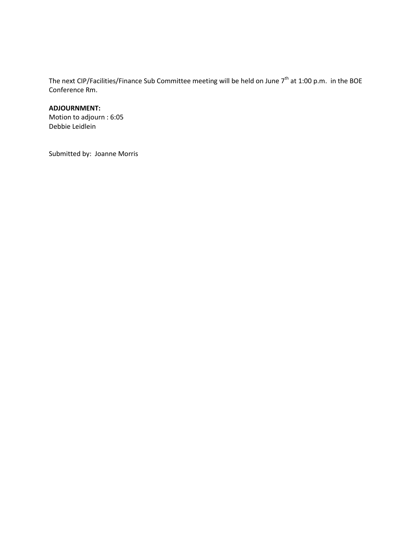The next CIP/Facilities/Finance Sub Committee meeting will be held on June 7<sup>th</sup> at 1:00 p.m. in the BOE Conference Rm.

#### **ADJOURNMENT:**

Motion to adjourn : 6:05 Debbie Leidlein

Submitted by: Joanne Morris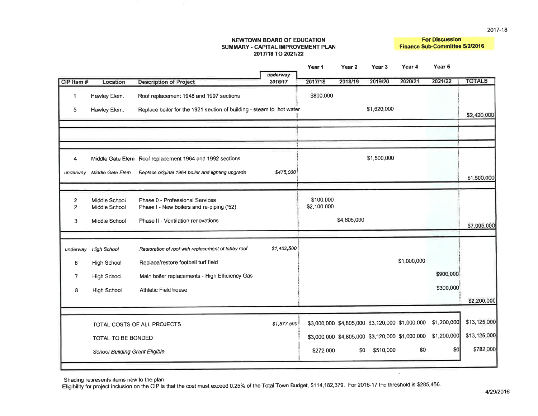#### **NEWTOWN BOARD OF EDUCATION** SUMMARY - CAPITAL IMPROVEMENT PLAN 2017/18 TO 2021/22

÷.

**For Discussion** Finance Sub-Committee 5/2/2016

|                                  |                                       |                                                                              | underway    | Year <sub>1</sub>        | Year <sub>2</sub> | Year <sub>3</sub> | Year 4                                          | Year 5         |               |
|----------------------------------|---------------------------------------|------------------------------------------------------------------------------|-------------|--------------------------|-------------------|-------------------|-------------------------------------------------|----------------|---------------|
| CIP Item #                       | Location                              | <b>Description of Project</b>                                                | 2016/17     | 2017/18                  | 2018/19           | 2019/20           | 2020/21                                         | 2021/22        | <b>TOTALS</b> |
| $\mathbf{1}$                     | Hawley Elem.                          | Roof replacement 1948 and 1997 sections                                      |             | \$800,000                |                   |                   |                                                 |                |               |
| 5                                | Hawley Elem.                          | Replace boiler for the 1921 section of building - steam to hot water         |             |                          |                   | \$1,620,000       |                                                 |                | \$2,420,000   |
|                                  |                                       |                                                                              |             |                          |                   |                   |                                                 |                |               |
|                                  |                                       |                                                                              |             |                          |                   |                   |                                                 |                |               |
|                                  |                                       |                                                                              |             |                          |                   |                   |                                                 |                |               |
| 4                                |                                       | Middle Gate Elem Roof replacement 1964 and 1992 sections                     |             |                          |                   | \$1,500,000       |                                                 |                |               |
| underway                         | Middle Gate Elem                      | Replace original 1964 boiler and lighting upgrade                            | \$475,000   |                          |                   |                   |                                                 |                | \$1,500,000   |
|                                  |                                       |                                                                              |             |                          |                   |                   |                                                 |                |               |
| $\overline{2}$<br>$\overline{2}$ | Middle School<br>Middle School        | Phase 0 - Professional Services<br>Phase I - New boilers and re-piping ('52) |             | \$100,000<br>\$2,100,000 |                   |                   |                                                 |                |               |
| 3                                | Middle School                         | Phase II - Ventilation renovations                                           |             |                          | \$4,805,000       |                   |                                                 |                |               |
|                                  |                                       |                                                                              |             |                          |                   |                   |                                                 |                | \$7,005,000   |
|                                  |                                       |                                                                              |             |                          |                   |                   |                                                 |                |               |
| underway                         | High School                           | Restoration of roof with replacement of lobby roof                           | \$1,402,500 |                          |                   |                   |                                                 |                |               |
| 6                                | <b>High School</b>                    | Replace/restore football turf field                                          |             |                          |                   |                   | \$1,000,000                                     |                |               |
| $\overline{7}$                   | <b>High School</b>                    | Main boiler replacements - High Efficiency Gas                               |             |                          |                   |                   |                                                 | \$900,000      |               |
| 8                                | <b>High School</b>                    | Athletic Field house                                                         |             |                          |                   |                   |                                                 | \$300,000      |               |
|                                  |                                       |                                                                              |             |                          |                   |                   |                                                 |                | \$2,200,000   |
|                                  |                                       |                                                                              |             |                          |                   |                   |                                                 |                |               |
|                                  |                                       | TOTAL COSTS OF ALL PROJECTS                                                  | \$1,877,500 |                          |                   |                   | \$3,000,000 \$4,805,000 \$3,120,000 \$1,000,000 | \$1,200,000    | \$13,125,000  |
|                                  | TOTAL TO BE BONDED                    |                                                                              |             |                          |                   |                   | \$3,000,000 \$4,805,000 \$3,120,000 \$1,000,000 | \$1,200,000    | \$13,125,000  |
|                                  | <b>School Building Grant Eligible</b> |                                                                              |             | \$272,000                | \$0               | \$510,000         | \$0                                             | $\frac{1}{20}$ | \$782,000     |
|                                  |                                       |                                                                              |             |                          |                   |                   |                                                 |                |               |

Shading represents items new to the plan

Eligibility for project inclusion on the CIP is that the cost must exceed 0.25% of the Total Town Budget, \$114,182,379. For 2016-17 the threshold is \$285,456.

 $\lambda$